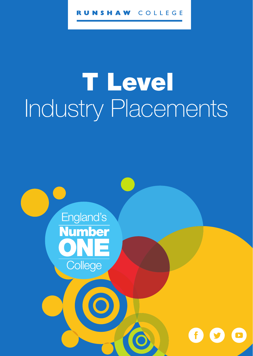#### COLLEGE SHAW

# T Level Industry Placements

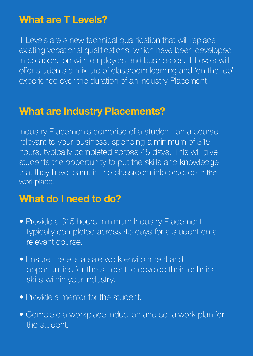#### **What are T Levels?**

T Levels are a new technical qualification that will replace existing vocational qualifications, which have been developed in collaboration with employers and businesses. T Levels will offer students a mixture of classroom learning and 'on-the-job' experience over the duration of an Industry Placement.

#### **What are Industry Placements?**

Industry Placements comprise of a student, on a course relevant to your business, spending a minimum of 315 hours, typically completed across 45 days. This will give students the opportunity to put the skills and knowledge that they have learnt in the classroom into practice in the workplace.

#### **What do I need to do?**

- Provide a 315 hours minimum Industry Placement, typically completed across 45 days for a student on a relevant course.
- Ensure there is a safe work environment and opportunities for the student to develop their technical skills within your industry.
- Provide a mentor for the student.
- Complete a workplace induction and set a work plan for the student.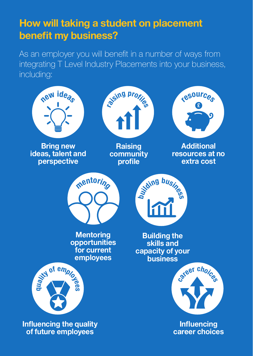### **How will taking a student on placement benefit my business?**

As an employer you will benefit in a number of ways from integrating T Level Industry Placements into your business, including: